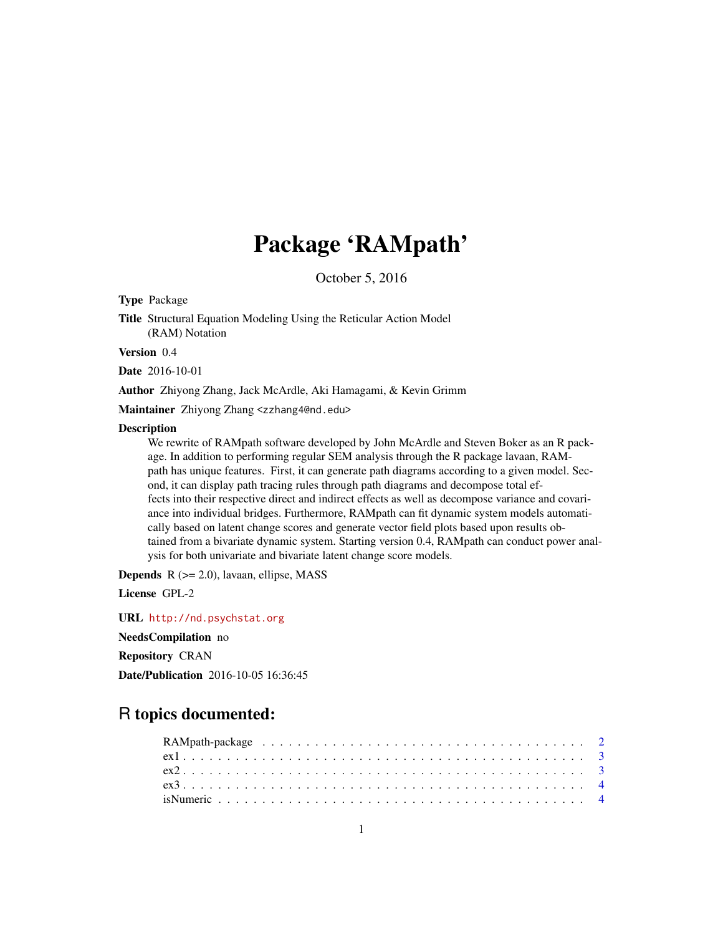# Package 'RAMpath'

October 5, 2016

<span id="page-0-0"></span>Type Package

Title Structural Equation Modeling Using the Reticular Action Model (RAM) Notation

Version 0.4

Date 2016-10-01

Author Zhiyong Zhang, Jack McArdle, Aki Hamagami, & Kevin Grimm

Maintainer Zhiyong Zhang <zzhang4@nd.edu>

#### Description

We rewrite of RAMpath software developed by John McArdle and Steven Boker as an R package. In addition to performing regular SEM analysis through the R package lavaan, RAMpath has unique features. First, it can generate path diagrams according to a given model. Second, it can display path tracing rules through path diagrams and decompose total effects into their respective direct and indirect effects as well as decompose variance and covariance into individual bridges. Furthermore, RAMpath can fit dynamic system models automatically based on latent change scores and generate vector field plots based upon results obtained from a bivariate dynamic system. Starting version 0.4, RAMpath can conduct power analysis for both univariate and bivariate latent change score models.

**Depends**  $R$  ( $>= 2.0$ ), lavaan, ellipse, MASS

License GPL-2

URL <http://nd.psychstat.org>

NeedsCompilation no

Repository CRAN

Date/Publication 2016-10-05 16:36:45

# R topics documented: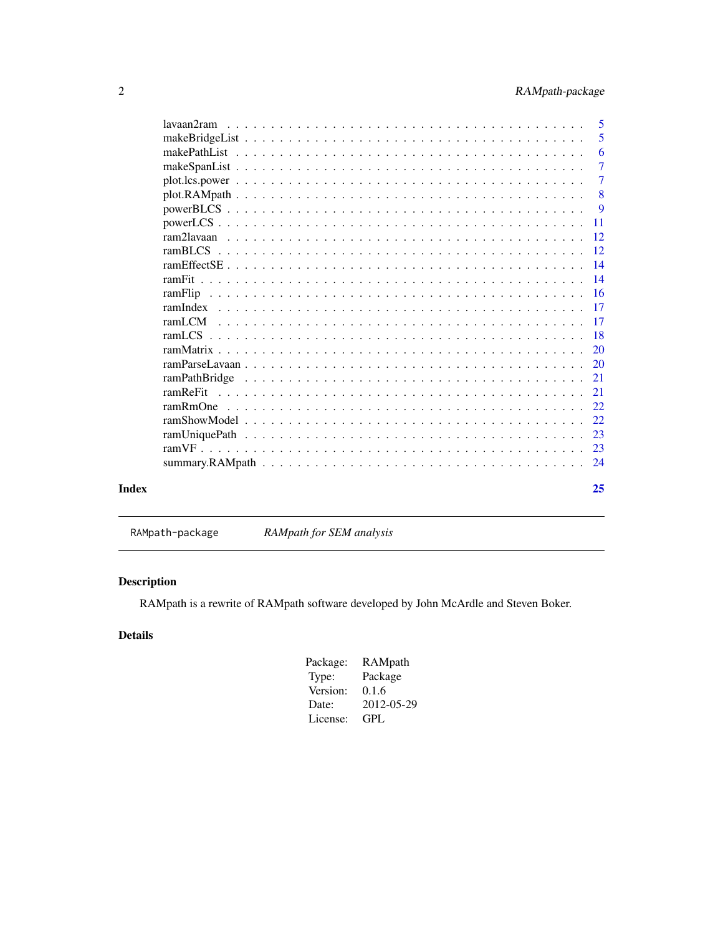<span id="page-1-0"></span>

| Index |            | 25             |
|-------|------------|----------------|
|       |            |                |
|       |            |                |
|       |            |                |
|       |            |                |
|       |            |                |
|       | ramReFit   | 2.1            |
|       |            | 2.1            |
|       |            |                |
|       |            | <sup>20</sup>  |
|       |            | -18            |
|       |            |                |
|       |            |                |
|       |            | - 16           |
|       |            |                |
|       |            |                |
|       |            | -12            |
|       |            | -12            |
|       |            | <b>11</b>      |
|       |            | 9              |
|       |            | 8              |
|       |            | $\overline{7}$ |
|       |            | $\overline{7}$ |
|       |            | 6              |
|       |            | 5              |
|       | lavaan2ram | -5             |
|       |            |                |

RAMpath-package *RAMpath for SEM analysis*

# Description

RAMpath is a rewrite of RAMpath software developed by John McArdle and Steven Boker.

# Details

| RAMpath    |
|------------|
| Package    |
| 0.1.6      |
| 2012-05-29 |
| GPL.       |
|            |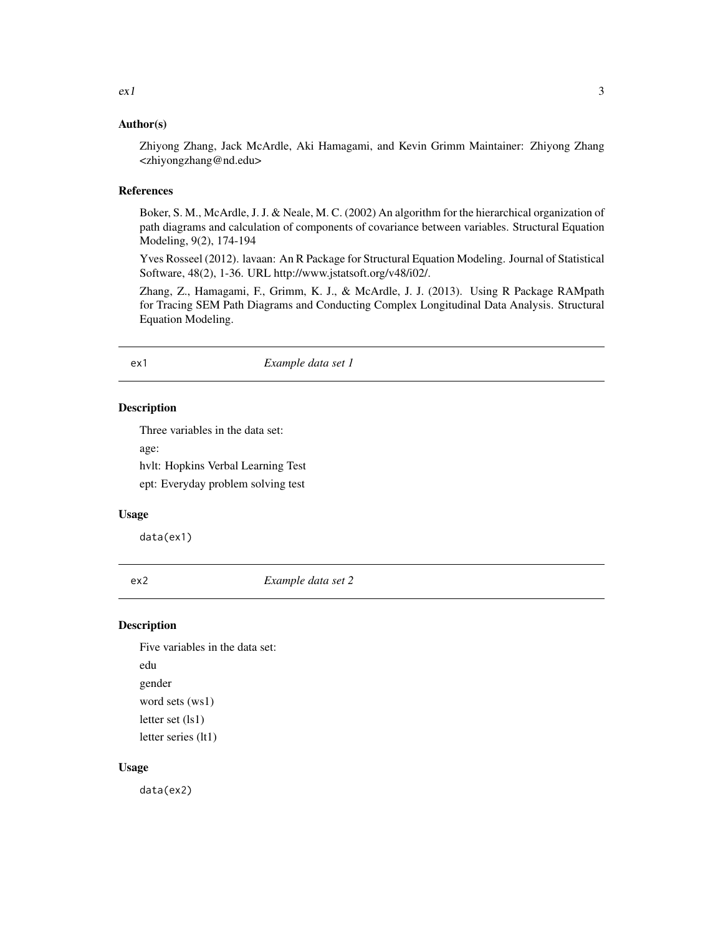<span id="page-2-0"></span>Zhiyong Zhang, Jack McArdle, Aki Hamagami, and Kevin Grimm Maintainer: Zhiyong Zhang <zhiyongzhang@nd.edu>

#### References

Boker, S. M., McArdle, J. J. & Neale, M. C. (2002) An algorithm for the hierarchical organization of path diagrams and calculation of components of covariance between variables. Structural Equation Modeling, 9(2), 174-194

Yves Rosseel (2012). lavaan: An R Package for Structural Equation Modeling. Journal of Statistical Software, 48(2), 1-36. URL http://www.jstatsoft.org/v48/i02/.

Zhang, Z., Hamagami, F., Grimm, K. J., & McArdle, J. J. (2013). Using R Package RAMpath for Tracing SEM Path Diagrams and Conducting Complex Longitudinal Data Analysis. Structural Equation Modeling.

#### ex1 *Example data set 1*

#### Description

Three variables in the data set:

age:

hvlt: Hopkins Verbal Learning Test ept: Everyday problem solving test

#### Usage

data(ex1)

ex2 *Example data set 2*

#### Description

Five variables in the data set: edu gender word sets (ws1) letter set (ls1) letter series (lt1)

#### Usage

data(ex2)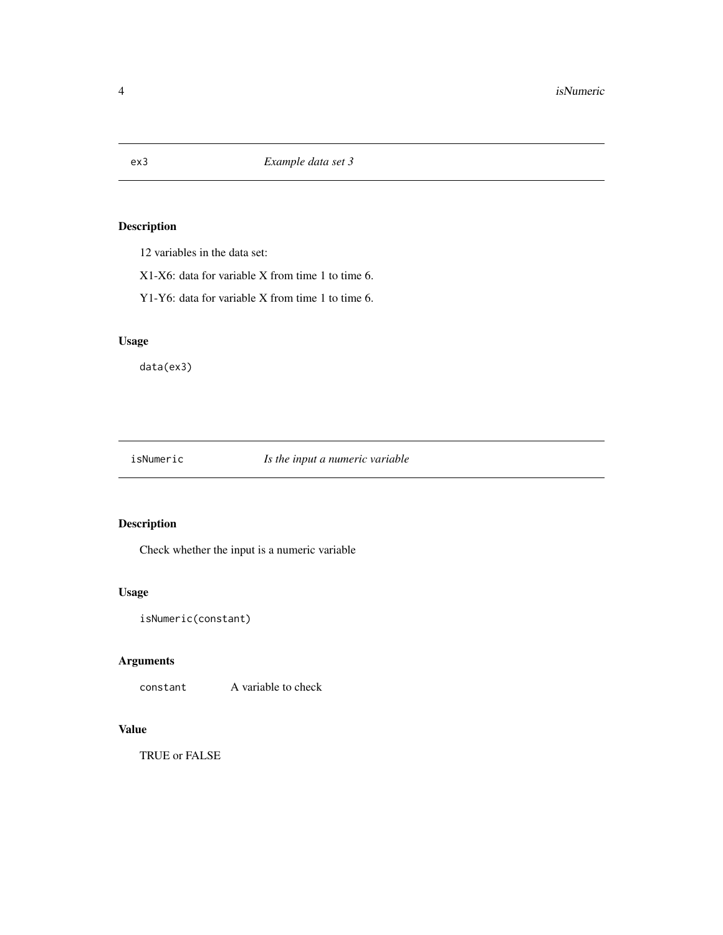<span id="page-3-0"></span>

12 variables in the data set:

X1-X6: data for variable X from time 1 to time 6.

Y1-Y6: data for variable X from time 1 to time 6.

#### Usage

data(ex3)

isNumeric *Is the input a numeric variable*

#### Description

Check whether the input is a numeric variable

#### Usage

```
isNumeric(constant)
```
#### Arguments

constant A variable to check

#### Value

TRUE or FALSE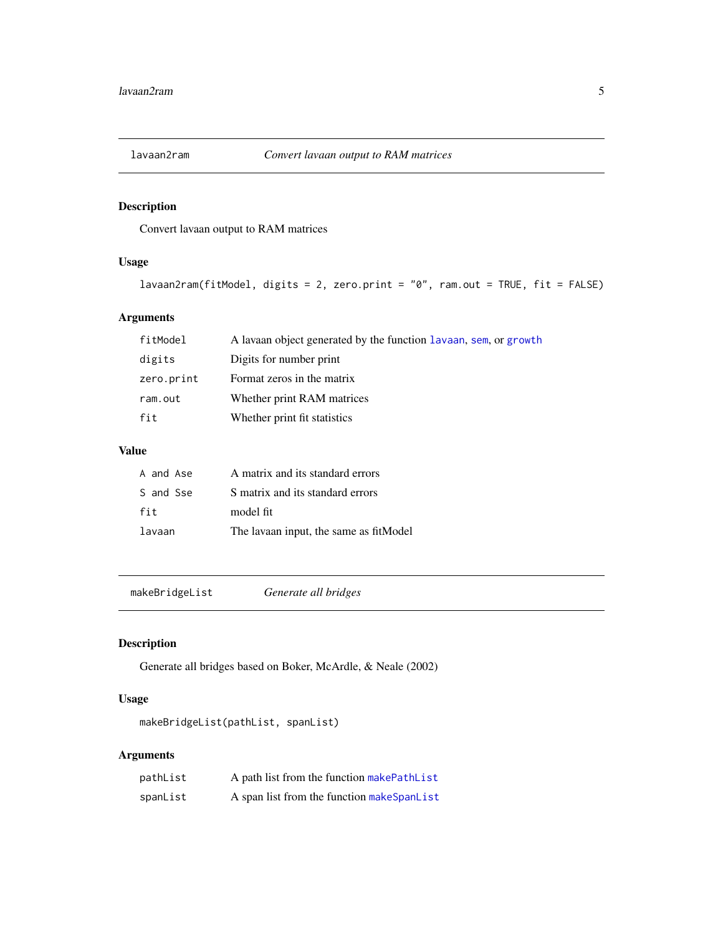<span id="page-4-0"></span>

Convert lavaan output to RAM matrices

#### Usage

```
lavaan2ram(fitModel, digits = 2, zero.print = "0", ram.out = TRUE, fit = FALSE)
```
#### Arguments

| fitModel   | A lavaan object generated by the function lavaan, sem, or growth |
|------------|------------------------------------------------------------------|
| digits     | Digits for number print                                          |
| zero.print | Format zeros in the matrix                                       |
| ram.out    | Whether print RAM matrices                                       |
| fit        | Whether print fit statistics                                     |

### Value

| A and Ase | A matrix and its standard errors        |
|-----------|-----------------------------------------|
| S and Sse | S matrix and its standard errors        |
| fit       | model fit                               |
| lavaan    | The lavaan input, the same as fit Model |

makeBridgeList *Generate all bridges*

#### Description

Generate all bridges based on Boker, McArdle, & Neale (2002)

#### Usage

makeBridgeList(pathList, spanList)

| pathList | A path list from the function makePathList |
|----------|--------------------------------------------|
| spanList | A span list from the function makeSpanList |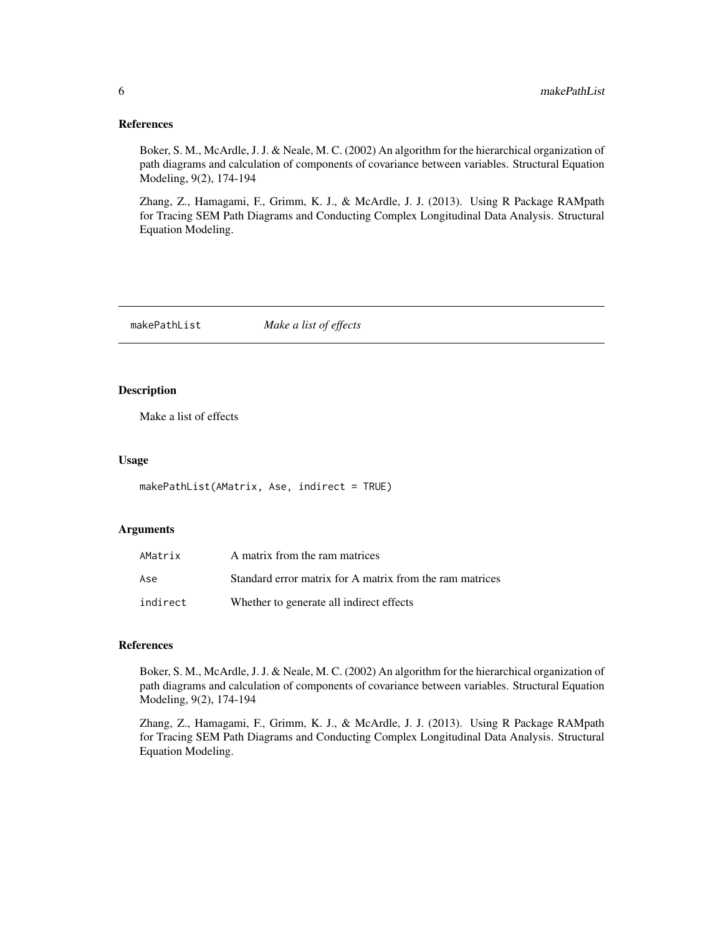#### <span id="page-5-0"></span>References

Boker, S. M., McArdle, J. J. & Neale, M. C. (2002) An algorithm for the hierarchical organization of path diagrams and calculation of components of covariance between variables. Structural Equation Modeling, 9(2), 174-194

Zhang, Z., Hamagami, F., Grimm, K. J., & McArdle, J. J. (2013). Using R Package RAMpath for Tracing SEM Path Diagrams and Conducting Complex Longitudinal Data Analysis. Structural Equation Modeling.

<span id="page-5-1"></span>makePathList *Make a list of effects*

#### Description

Make a list of effects

#### Usage

```
makePathList(AMatrix, Ase, indirect = TRUE)
```
#### **Arguments**

| AMatrix  | A matrix from the ram matrices                           |
|----------|----------------------------------------------------------|
| Ase      | Standard error matrix for A matrix from the ram matrices |
| indirect | Whether to generate all indirect effects                 |

#### References

Boker, S. M., McArdle, J. J. & Neale, M. C. (2002) An algorithm for the hierarchical organization of path diagrams and calculation of components of covariance between variables. Structural Equation Modeling, 9(2), 174-194

Zhang, Z., Hamagami, F., Grimm, K. J., & McArdle, J. J. (2013). Using R Package RAMpath for Tracing SEM Path Diagrams and Conducting Complex Longitudinal Data Analysis. Structural Equation Modeling.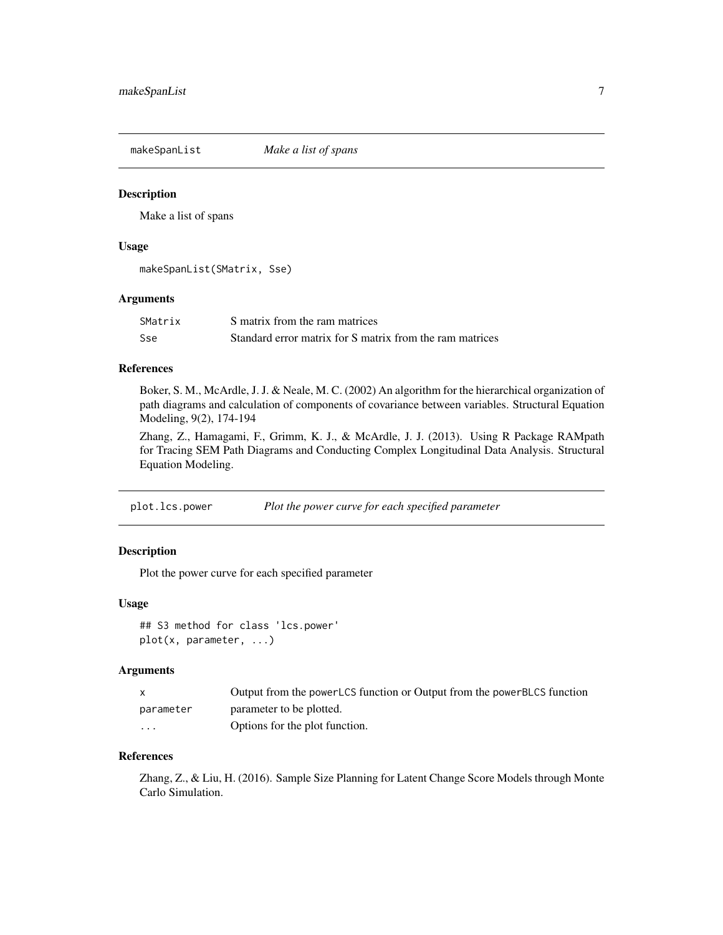<span id="page-6-1"></span><span id="page-6-0"></span>makeSpanList *Make a list of spans*

#### Description

Make a list of spans

#### Usage

makeSpanList(SMatrix, Sse)

#### Arguments

| SMatrix | S matrix from the ram matrices                           |
|---------|----------------------------------------------------------|
| Sse     | Standard error matrix for S matrix from the ram matrices |

#### References

Boker, S. M., McArdle, J. J. & Neale, M. C. (2002) An algorithm for the hierarchical organization of path diagrams and calculation of components of covariance between variables. Structural Equation Modeling, 9(2), 174-194

Zhang, Z., Hamagami, F., Grimm, K. J., & McArdle, J. J. (2013). Using R Package RAMpath for Tracing SEM Path Diagrams and Conducting Complex Longitudinal Data Analysis. Structural Equation Modeling.

plot.lcs.power *Plot the power curve for each specified parameter*

## Description

Plot the power curve for each specified parameter

#### Usage

```
## S3 method for class 'lcs.power'
plot(x, parameter, ...)
```
#### **Arguments**

| X         | Output from the powerLCS function or Output from the powerBLCS function |
|-----------|-------------------------------------------------------------------------|
| parameter | parameter to be plotted.                                                |
| $\cdots$  | Options for the plot function.                                          |

#### References

Zhang, Z., & Liu, H. (2016). Sample Size Planning for Latent Change Score Models through Monte Carlo Simulation.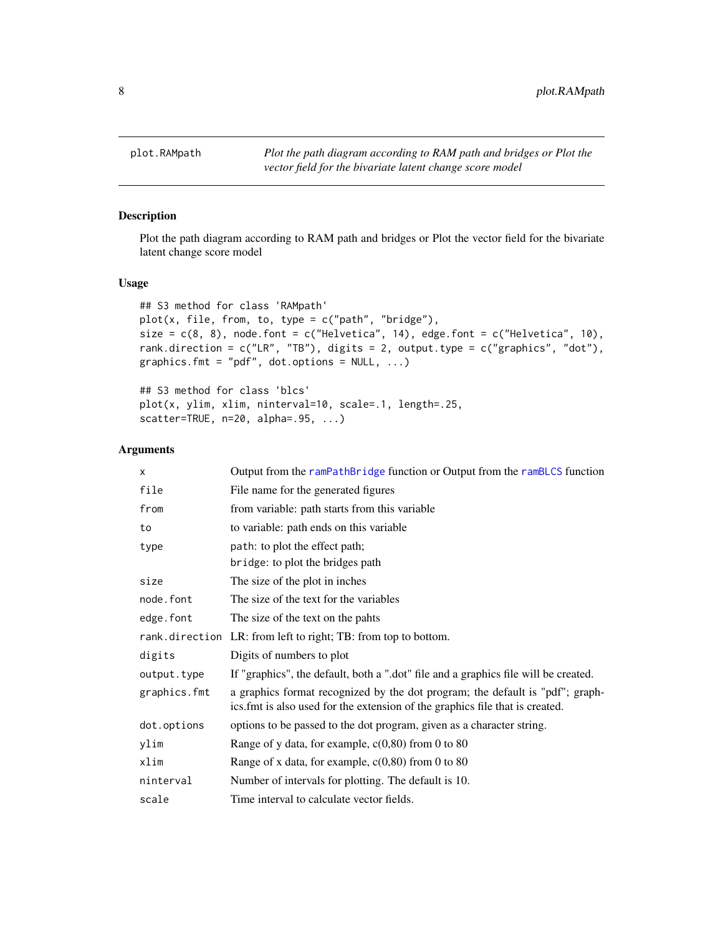<span id="page-7-0"></span>

Plot the path diagram according to RAM path and bridges or Plot the vector field for the bivariate latent change score model

#### Usage

```
## S3 method for class 'RAMpath'
plot(x, file, from, to, type = c("path", "bridge"),size = c(8, 8), node.font = c("Helvetica", 14), edge.font = c("Helvetica", 10),
rank.direction = c("LR", "TB"), digits = 2, output.type = c("graphics", "dot"),
graphics.fmt = "pdf", dot.options = NULL, ...)
```

```
## S3 method for class 'blcs'
plot(x, ylim, xlim, ninterval=10, scale=.1, length=.25,
scatter=TRUE, n=20, alpha=.95, ...)
```

| X            | Output from the ramPathBridge function or Output from the ramBLCS function                                                                                     |
|--------------|----------------------------------------------------------------------------------------------------------------------------------------------------------------|
| file         | File name for the generated figures                                                                                                                            |
| from         | from variable: path starts from this variable                                                                                                                  |
| to           | to variable: path ends on this variable                                                                                                                        |
| type         | path: to plot the effect path;                                                                                                                                 |
|              | bridge: to plot the bridges path                                                                                                                               |
| size         | The size of the plot in inches                                                                                                                                 |
| node.font    | The size of the text for the variables                                                                                                                         |
| edge.font    | The size of the text on the pahts                                                                                                                              |
|              | rank.direction LR: from left to right; TB: from top to bottom.                                                                                                 |
| digits       | Digits of numbers to plot                                                                                                                                      |
| output.type  | If "graphics", the default, both a ".dot" file and a graphics file will be created.                                                                            |
| graphics.fmt | a graphics format recognized by the dot program; the default is "pdf"; graph-<br>ics. fmt is also used for the extension of the graphics file that is created. |
| dot.options  | options to be passed to the dot program, given as a character string.                                                                                          |
| ylim         | Range of y data, for example, $c(0,80)$ from 0 to 80                                                                                                           |
| xlim         | Range of x data, for example, $c(0,80)$ from 0 to 80                                                                                                           |
| ninterval    | Number of intervals for plotting. The default is 10.                                                                                                           |
| scale        | Time interval to calculate vector fields.                                                                                                                      |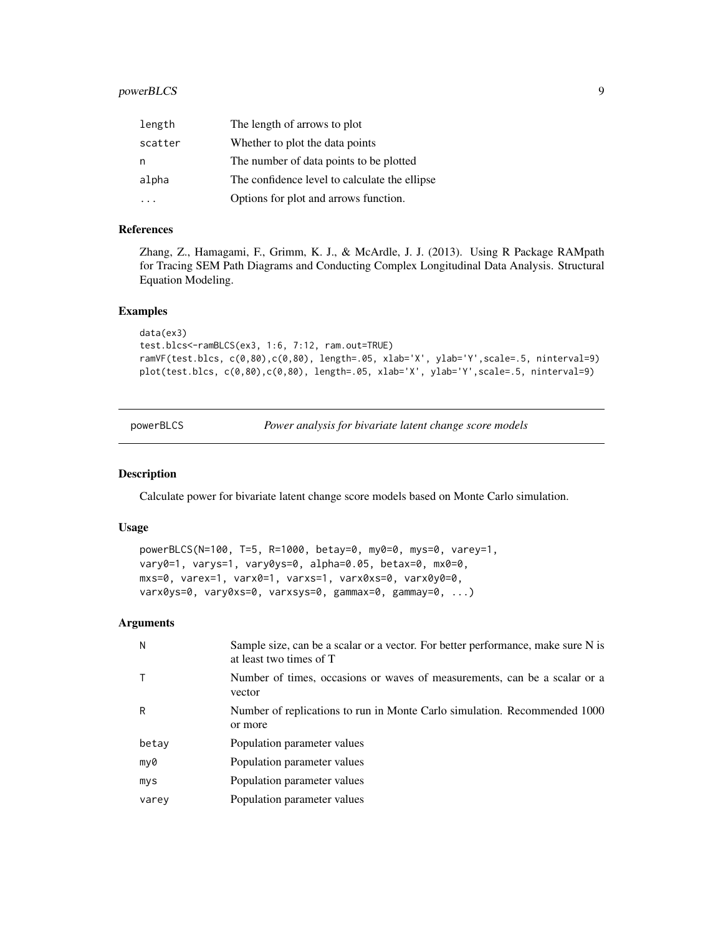#### <span id="page-8-0"></span>powerBLCS 9

| length  | The length of arrows to plot                  |
|---------|-----------------------------------------------|
| scatter | Whether to plot the data points               |
| n       | The number of data points to be plotted       |
| alpha   | The confidence level to calculate the ellipse |
|         | Options for plot and arrows function.         |

#### References

Zhang, Z., Hamagami, F., Grimm, K. J., & McArdle, J. J. (2013). Using R Package RAMpath for Tracing SEM Path Diagrams and Conducting Complex Longitudinal Data Analysis. Structural Equation Modeling.

#### Examples

```
data(ex3)
test.blcs<-ramBLCS(ex3, 1:6, 7:12, ram.out=TRUE)
ramVF(test.blcs, c(0,80),c(0,80), length=.05, xlab='X', ylab='Y',scale=.5, ninterval=9)
plot(test.blcs, c(0,80),c(0,80), length=.05, xlab='X', ylab='Y',scale=.5, ninterval=9)
```
powerBLCS *Power analysis for bivariate latent change score models*

#### Description

Calculate power for bivariate latent change score models based on Monte Carlo simulation.

#### Usage

```
powerBLCS(N=100, T=5, R=1000, betay=0, my0=0, mys=0, varey=1,
vary0=1, varys=1, vary0ys=0, alpha=0.05, betax=0, mx0=0,
mxs=0, varex=1, varx0=1, varxs=1, varx0xs=0, varx0y0=0,
varx0ys=0, vary0xs=0, varxsys=0, gammax=0, gammay=0, ...)
```

| N     | Sample size, can be a scalar or a vector. For better performance, make sure N is<br>at least two times of T |
|-------|-------------------------------------------------------------------------------------------------------------|
|       | Number of times, occasions or waves of measurements, can be a scalar or a<br>vector                         |
| R     | Number of replications to run in Monte Carlo simulation. Recommended 1000<br>or more                        |
| betay | Population parameter values                                                                                 |
| my0   | Population parameter values                                                                                 |
| mys   | Population parameter values                                                                                 |
| varey | Population parameter values                                                                                 |
|       |                                                                                                             |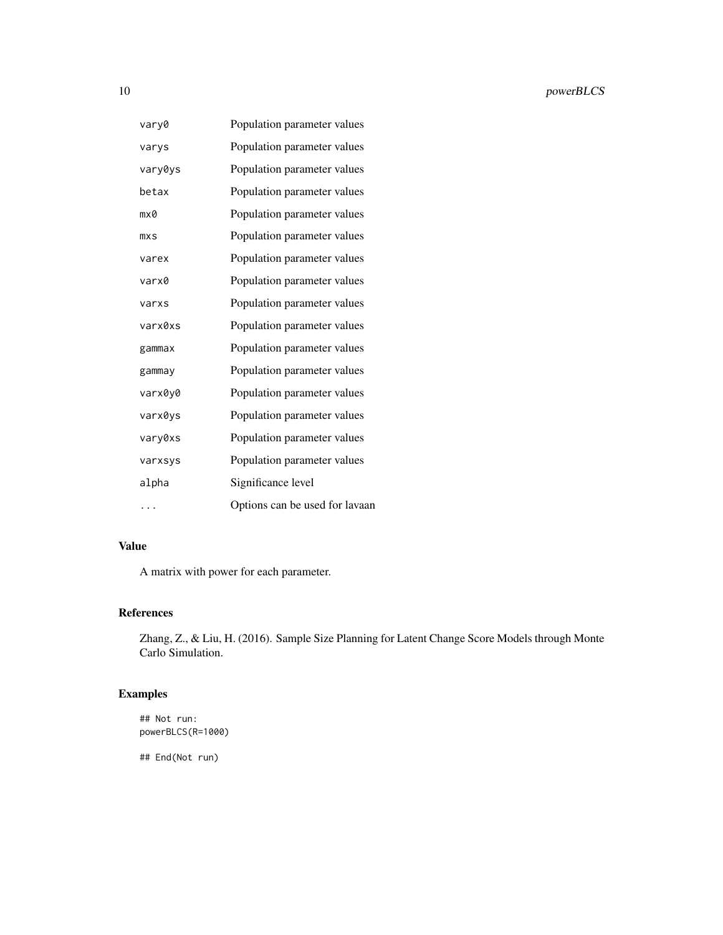| vary0   | Population parameter values    |
|---------|--------------------------------|
| varys   | Population parameter values    |
| vary0ys | Population parameter values    |
| betax   | Population parameter values    |
| mx0     | Population parameter values    |
| mxS     | Population parameter values    |
| varex   | Population parameter values    |
| varx0   | Population parameter values    |
| varxs   | Population parameter values    |
| varx0xs | Population parameter values    |
| gammax  | Population parameter values    |
| gammay  | Population parameter values    |
| varx0y0 | Population parameter values    |
| varx0ys | Population parameter values    |
| vary0xs | Population parameter values    |
| varxsys | Population parameter values    |
| alpha   | Significance level             |
| .       | Options can be used for lavaan |

# Value

A matrix with power for each parameter.

# References

Zhang, Z., & Liu, H. (2016). Sample Size Planning for Latent Change Score Models through Monte Carlo Simulation.

# Examples

## Not run: powerBLCS(R=1000)

## End(Not run)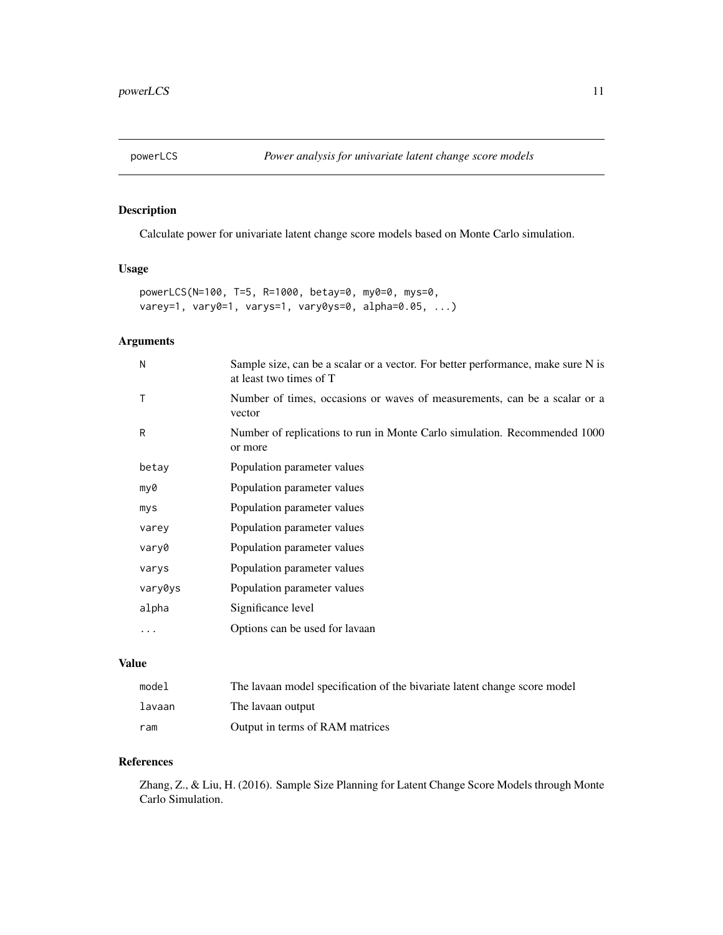<span id="page-10-0"></span>

Calculate power for univariate latent change score models based on Monte Carlo simulation.

#### Usage

```
powerLCS(N=100, T=5, R=1000, betay=0, my0=0, mys=0,
varey=1, vary0=1, varys=1, vary0ys=0, alpha=0.05, ...)
```
### Arguments

| N       | Sample size, can be a scalar or a vector. For better performance, make sure N is<br>at least two times of T |
|---------|-------------------------------------------------------------------------------------------------------------|
| Τ       | Number of times, occasions or waves of measurements, can be a scalar or a<br>vector                         |
| R       | Number of replications to run in Monte Carlo simulation. Recommended 1000<br>or more                        |
| betay   | Population parameter values                                                                                 |
| my0     | Population parameter values                                                                                 |
| mys     | Population parameter values                                                                                 |
| varey   | Population parameter values                                                                                 |
| vary0   | Population parameter values                                                                                 |
| varys   | Population parameter values                                                                                 |
| vary0ys | Population parameter values                                                                                 |
| alpha   | Significance level                                                                                          |
| .       | Options can be used for lavaan                                                                              |

# Value

| model  | The lavaan model specification of the bivariate latent change score model |
|--------|---------------------------------------------------------------------------|
| lavaan | The lavaan output                                                         |
| ram    | Output in terms of RAM matrices                                           |

#### References

Zhang, Z., & Liu, H. (2016). Sample Size Planning for Latent Change Score Models through Monte Carlo Simulation.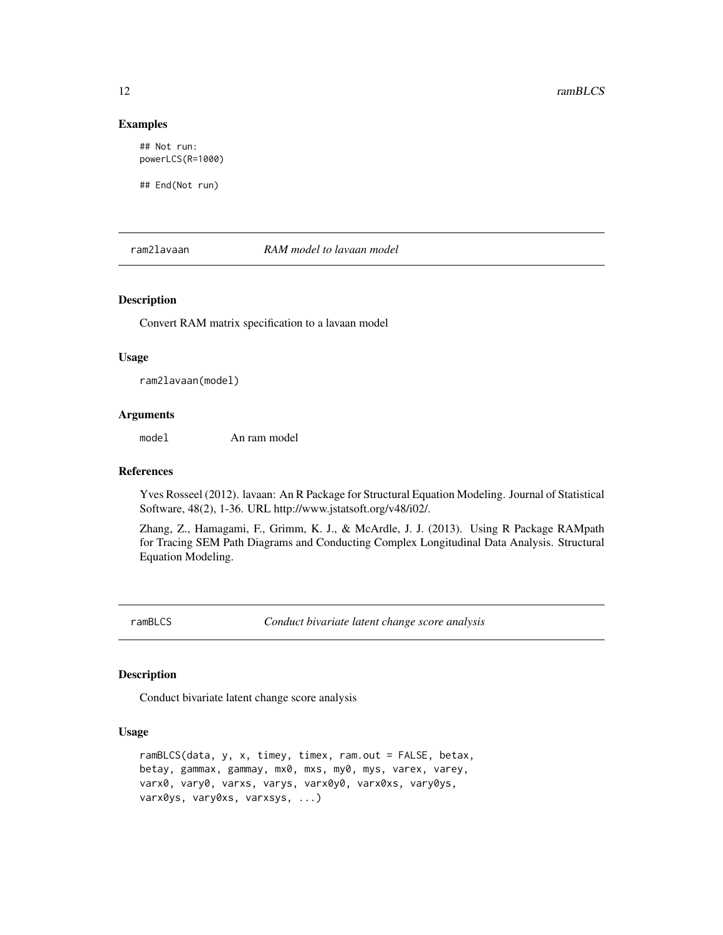#### Examples

## Not run: powerLCS(R=1000)

## End(Not run)

ram2lavaan *RAM model to lavaan model*

#### Description

Convert RAM matrix specification to a lavaan model

#### Usage

ram2lavaan(model)

#### Arguments

model An ram model

#### References

Yves Rosseel (2012). lavaan: An R Package for Structural Equation Modeling. Journal of Statistical Software, 48(2), 1-36. URL http://www.jstatsoft.org/v48/i02/.

Zhang, Z., Hamagami, F., Grimm, K. J., & McArdle, J. J. (2013). Using R Package RAMpath for Tracing SEM Path Diagrams and Conducting Complex Longitudinal Data Analysis. Structural Equation Modeling.

<span id="page-11-1"></span>ramBLCS *Conduct bivariate latent change score analysis*

#### Description

Conduct bivariate latent change score analysis

#### Usage

```
ramBLCS(data, y, x, timey, timex, ram.out = FALSE, betax,
betay, gammax, gammay, mx0, mxs, my0, mys, varex, varey,
varx0, vary0, varxs, varys, varx0y0, varx0xs, vary0ys,
varx0ys, vary0xs, varxsys, ...)
```
<span id="page-11-0"></span>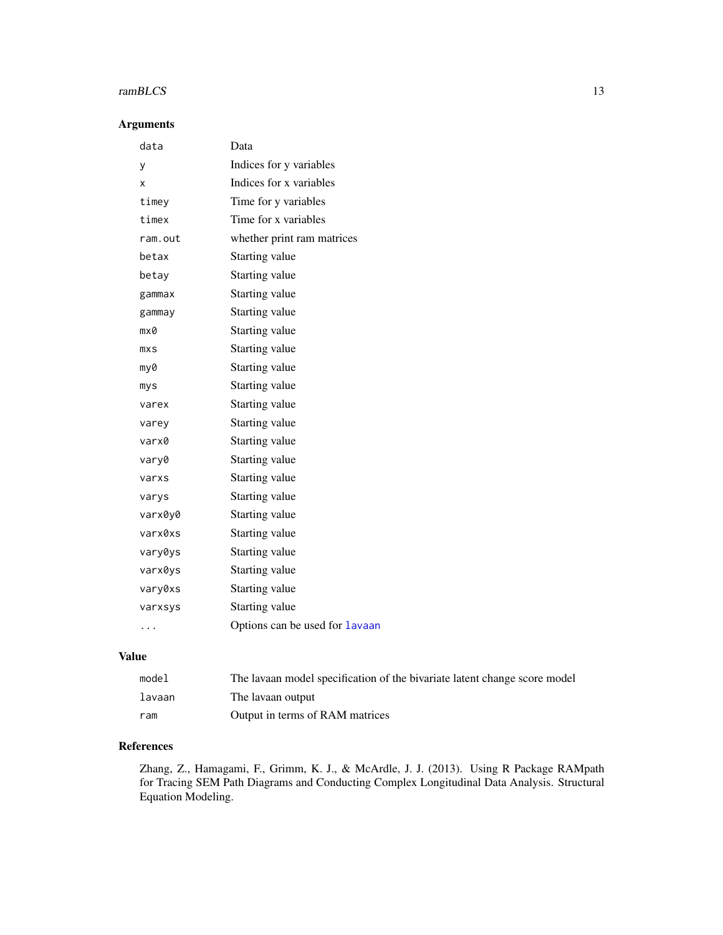# <span id="page-12-0"></span>ramBLCS 13

# Arguments

| Data                           |
|--------------------------------|
| Indices for y variables        |
| Indices for x variables        |
| Time for y variables           |
| Time for x variables           |
| whether print ram matrices     |
| Starting value                 |
| Starting value                 |
| Starting value                 |
| Starting value                 |
| Starting value                 |
| Starting value                 |
| Starting value                 |
| Starting value                 |
| Starting value                 |
| Starting value                 |
| Starting value                 |
| Starting value                 |
| Starting value                 |
| Starting value                 |
| Starting value                 |
| Starting value                 |
| Starting value                 |
| Starting value                 |
| Starting value                 |
| Starting value                 |
| Options can be used for lavaan |
|                                |

# Value

| model  | The lavaan model specification of the bivariate latent change score model |
|--------|---------------------------------------------------------------------------|
| lavaan | The lavaan output                                                         |
| ram    | Output in terms of RAM matrices                                           |

#### References

Zhang, Z., Hamagami, F., Grimm, K. J., & McArdle, J. J. (2013). Using R Package RAMpath for Tracing SEM Path Diagrams and Conducting Complex Longitudinal Data Analysis. Structural Equation Modeling.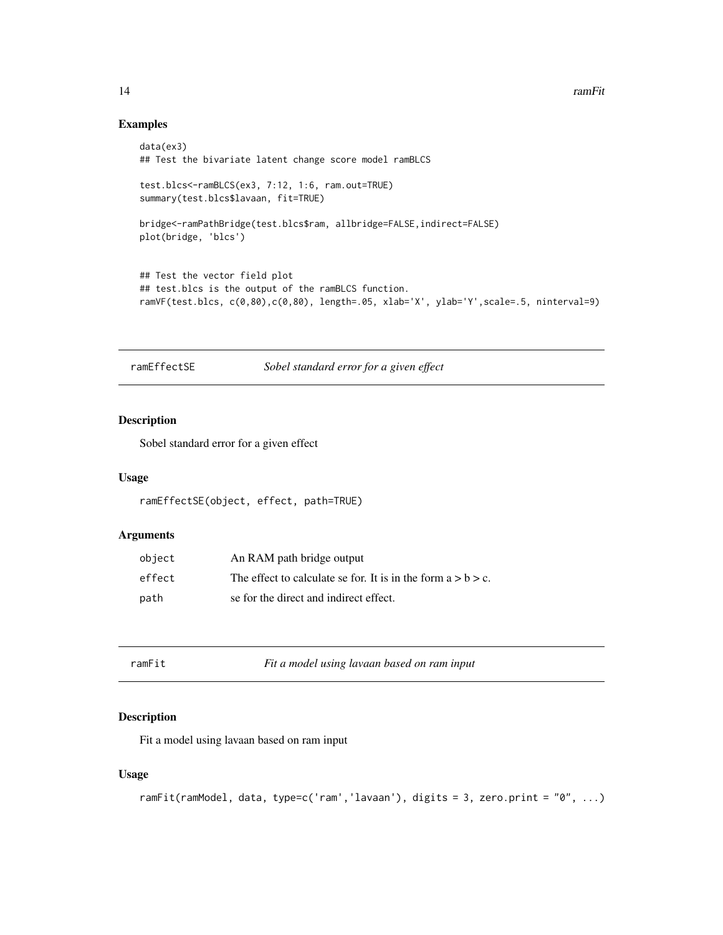<span id="page-13-0"></span>14 ramFit

# Examples

```
data(ex3)
## Test the bivariate latent change score model ramBLCS
test.blcs<-ramBLCS(ex3, 7:12, 1:6, ram.out=TRUE)
summary(test.blcs$lavaan, fit=TRUE)
bridge<-ramPathBridge(test.blcs$ram, allbridge=FALSE,indirect=FALSE)
plot(bridge, 'blcs')
## Test the vector field plot
## test.blcs is the output of the ramBLCS function.
ramVF(test.blcs, c(0,80),c(0,80), length=.05, xlab='X', ylab='Y',scale=.5, ninterval=9)
```
ramEffectSE *Sobel standard error for a given effect*

#### Description

Sobel standard error for a given effect

#### Usage

```
ramEffectSE(object, effect, path=TRUE)
```
#### Arguments

| object | An RAM path bridge output                                       |
|--------|-----------------------------------------------------------------|
| effect | The effect to calculate se for. It is in the form $a > b > c$ . |
| path   | se for the direct and indirect effect.                          |

| ramFit | Fit a model using lavaan based on ram input |
|--------|---------------------------------------------|
|--------|---------------------------------------------|

#### Description

Fit a model using lavaan based on ram input

#### Usage

```
ramFit(ramModel, data, type=c('ram','lavaan'), digits = 3, zero.print = "0", ...)
```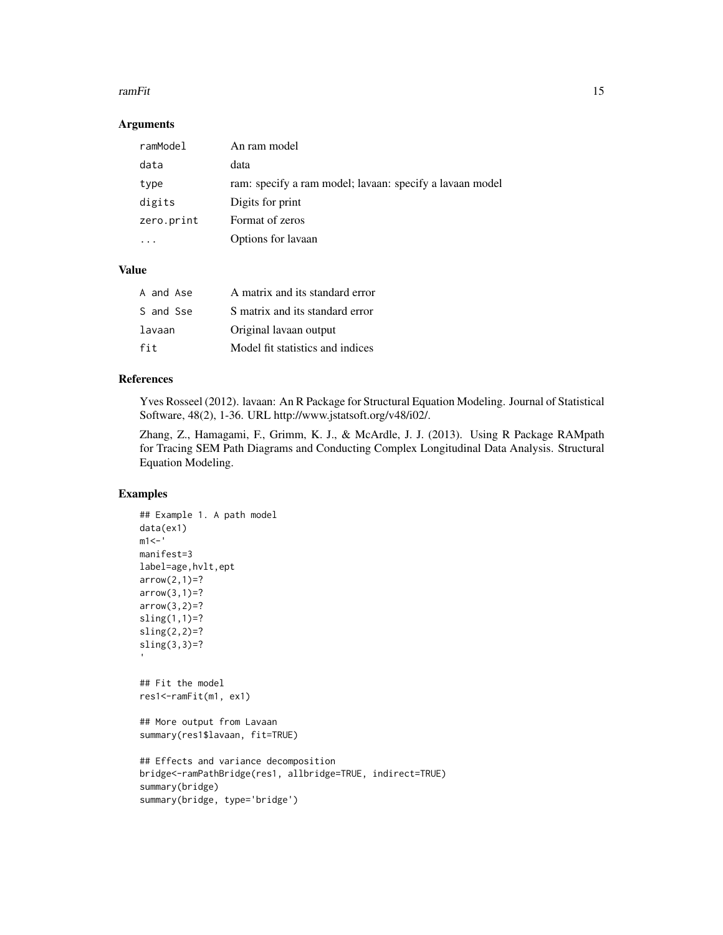#### ramFit the contract of the contract of the contract of the contract of the contract of the contract of the contract of the contract of the contract of the contract of the contract of the contract of the contract of the con

#### Arguments

| ramModel   | An ram model                                             |
|------------|----------------------------------------------------------|
| data       | data                                                     |
| type       | ram: specify a ram model; lavaan: specify a lavaan model |
| digits     | Digits for print                                         |
| zero.print | Format of zeros                                          |
|            | Options for lavaan                                       |

#### Value

| A and Ase | A matrix and its standard error  |
|-----------|----------------------------------|
| S and Sse | S matrix and its standard error  |
| lavaan    | Original lavaan output           |
| fit       | Model fit statistics and indices |

#### References

Yves Rosseel (2012). lavaan: An R Package for Structural Equation Modeling. Journal of Statistical Software, 48(2), 1-36. URL http://www.jstatsoft.org/v48/i02/.

Zhang, Z., Hamagami, F., Grimm, K. J., & McArdle, J. J. (2013). Using R Package RAMpath for Tracing SEM Path Diagrams and Conducting Complex Longitudinal Data Analysis. Structural Equation Modeling.

# Examples

```
## Example 1. A path model
data(ex1)
m1 <- 'manifest=3
label=age,hvlt,ept
arrow(2,1)=?arrow(3,1)=?arrow(3,2)=?sling(1,1)=?
\text{sling}(2,2)=?sling(3,3)=?
## Fit the model
res1<-ramFit(m1, ex1)
## More output from Lavaan
summary(res1$lavaan, fit=TRUE)
## Effects and variance decomposition
bridge<-ramPathBridge(res1, allbridge=TRUE, indirect=TRUE)
summary(bridge)
summary(bridge, type='bridge')
```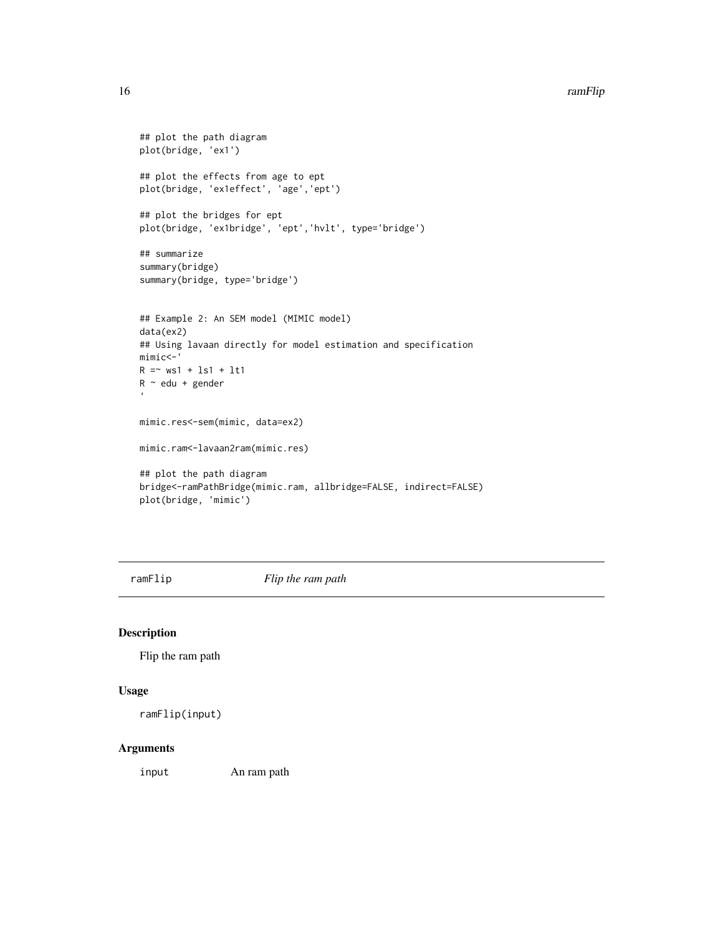#### <span id="page-15-0"></span>16 ramFlip

```
## plot the path diagram
plot(bridge, 'ex1')
## plot the effects from age to ept
plot(bridge, 'ex1effect', 'age','ept')
## plot the bridges for ept
plot(bridge, 'ex1bridge', 'ept','hvlt', type='bridge')
## summarize
summary(bridge)
summary(bridge, type='bridge')
## Example 2: An SEM model (MIMIC model)
data(ex2)
## Using lavaan directly for model estimation and specification
mimic<-'
R = ~ wsl + ls1 + lt1R ~ edu + gender
mimic.res<-sem(mimic, data=ex2)
mimic.ram<-lavaan2ram(mimic.res)
## plot the path diagram
bridge<-ramPathBridge(mimic.ram, allbridge=FALSE, indirect=FALSE)
plot(bridge, 'mimic')
```
ramFlip *Flip the ram path*

#### Description

Flip the ram path

#### Usage

ramFlip(input)

#### Arguments

input An ram path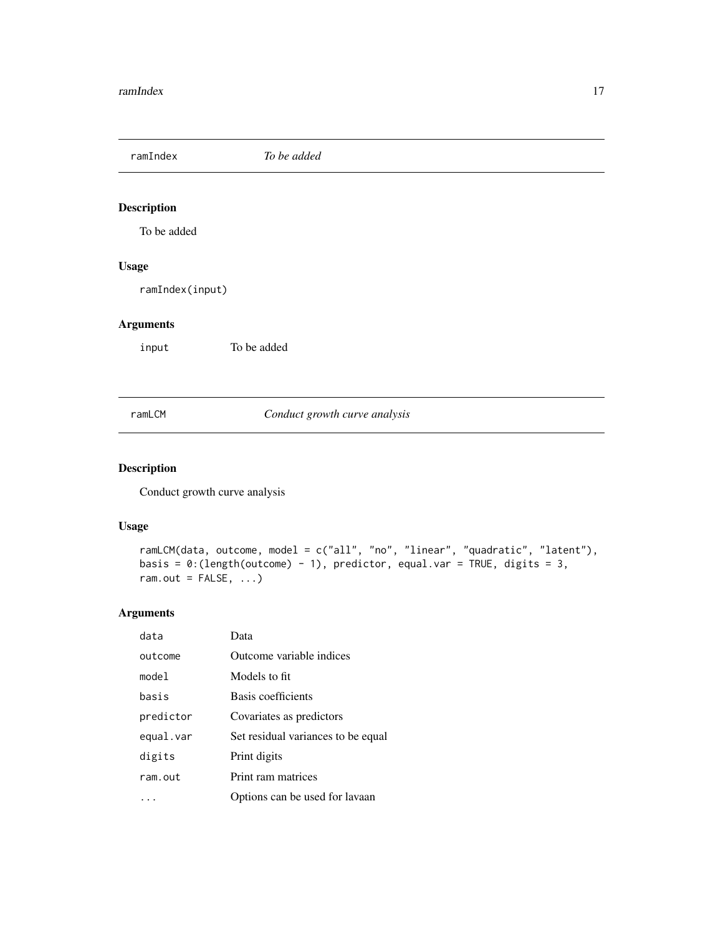<span id="page-16-0"></span>ramIndex *To be added*

# Description

To be added

# Usage

ramIndex(input)

#### Arguments

input To be added

#### ramLCM *Conduct growth curve analysis*

# Description

Conduct growth curve analysis

#### Usage

```
ramLCM(data, outcome, model = c("all", "no", "linear", "quadratic", "latent"),
basis = 0:(length(outcome) - 1), predictor, equal.var = TRUE, digits = 3,
ram.out = FALSE, ...)
```

| data      | Data                               |
|-----------|------------------------------------|
| outcome   | Outcome variable indices           |
| model     | Models to fit                      |
| basis     | Basis coefficients                 |
| predictor | Covariates as predictors           |
| equal.var | Set residual variances to be equal |
| digits    | Print digits                       |
| ram.out   | Print ram matrices                 |
|           | Options can be used for lavaan     |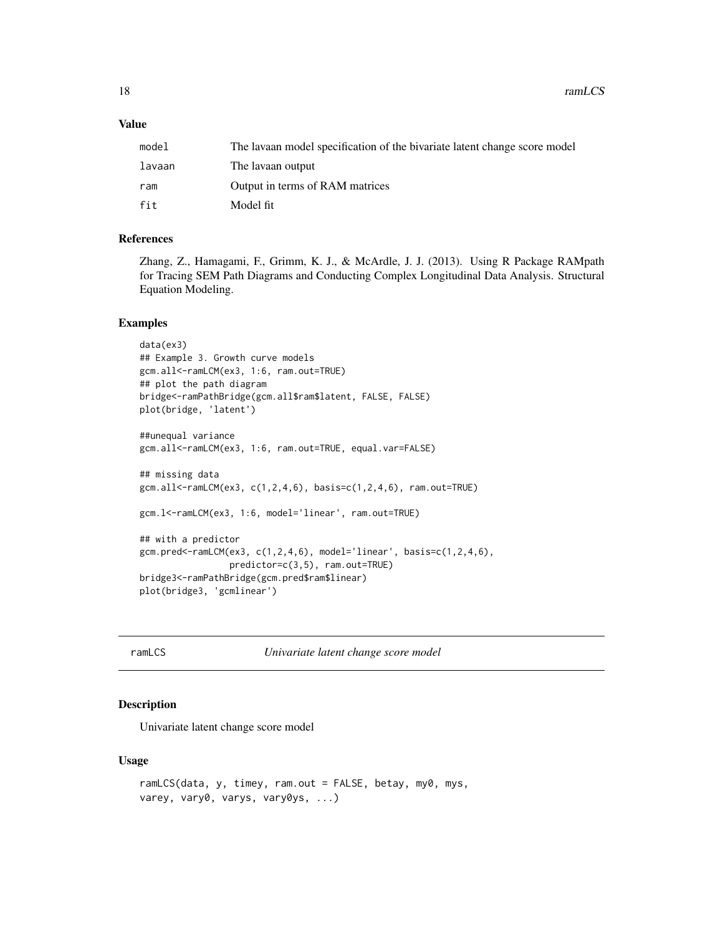<span id="page-17-0"></span>18 ramLCS

#### Value

| model  | The lavaan model specification of the bivariate latent change score model |
|--------|---------------------------------------------------------------------------|
| lavaan | The lavaan output                                                         |
| ram    | Output in terms of RAM matrices                                           |
| fit    | Model fit                                                                 |

#### References

Zhang, Z., Hamagami, F., Grimm, K. J., & McArdle, J. J. (2013). Using R Package RAMpath for Tracing SEM Path Diagrams and Conducting Complex Longitudinal Data Analysis. Structural Equation Modeling.

#### Examples

```
data(ex3)
## Example 3. Growth curve models
gcm.all<-ramLCM(ex3, 1:6, ram.out=TRUE)
## plot the path diagram
bridge<-ramPathBridge(gcm.all$ram$latent, FALSE, FALSE)
plot(bridge, 'latent')
##unequal variance
gcm.all<-ramLCM(ex3, 1:6, ram.out=TRUE, equal.var=FALSE)
## missing data
gcm.all<-ramLCM(ex3, c(1,2,4,6), basis=c(1,2,4,6), ram.out=TRUE)
gcm.l<-ramLCM(ex3, 1:6, model='linear', ram.out=TRUE)
## with a predictor
gcm.pred<-ramLCM(ex3, c(1,2,4,6), model='linear', basis=c(1,2,4,6),
                 predictor=c(3,5), ram.out=TRUE)
bridge3<-ramPathBridge(gcm.pred$ram$linear)
plot(bridge3, 'gcmlinear')
```
ramLCS *Univariate latent change score model*

#### Description

Univariate latent change score model

#### Usage

```
ramLCS(data, y, timey, ram.out = FALSE, betay, my0, mys,
varey, vary0, varys, vary0ys, ...)
```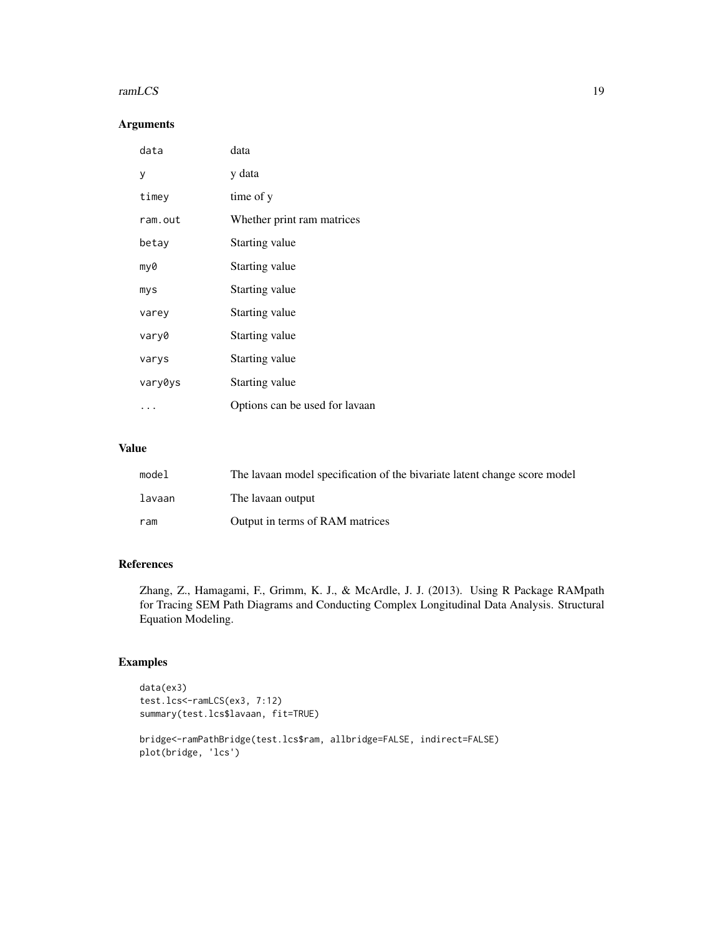#### ramLCS and the state of the state of the state of the state of the state of the state of the state of the state of the state of the state of the state of the state of the state of the state of the state of the state of the

#### Arguments

| data    | data                           |
|---------|--------------------------------|
| У       | y data                         |
| timey   | time of y                      |
| ram.out | Whether print ram matrices     |
| betay   | Starting value                 |
| my0     | Starting value                 |
| mys     | Starting value                 |
| varey   | Starting value                 |
| vary0   | Starting value                 |
| varys   | Starting value                 |
| vary0ys | Starting value                 |
| .       | Options can be used for lavaan |

#### Value

| model  | The lavaan model specification of the bivariate latent change score model |
|--------|---------------------------------------------------------------------------|
| lavaan | The lavaan output                                                         |
| ram    | Output in terms of RAM matrices                                           |

#### References

Zhang, Z., Hamagami, F., Grimm, K. J., & McArdle, J. J. (2013). Using R Package RAMpath for Tracing SEM Path Diagrams and Conducting Complex Longitudinal Data Analysis. Structural Equation Modeling.

# Examples

```
data(ex3)
test.lcs<-ramLCS(ex3, 7:12)
summary(test.lcs$lavaan, fit=TRUE)
```

```
bridge<-ramPathBridge(test.lcs$ram, allbridge=FALSE, indirect=FALSE)
plot(bridge, 'lcs')
```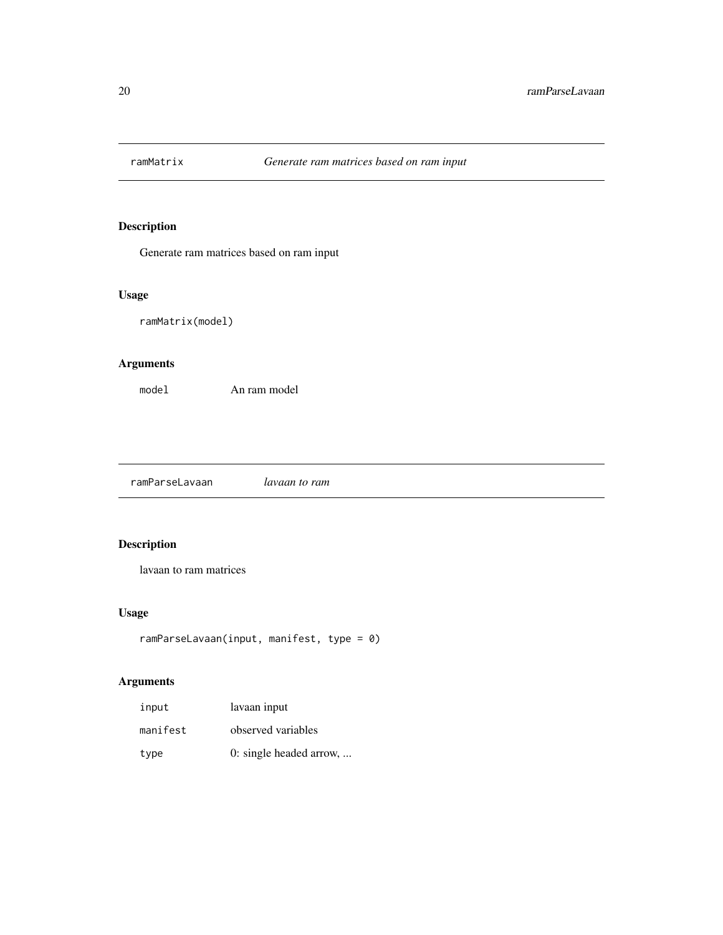<span id="page-19-0"></span>

Generate ram matrices based on ram input

#### Usage

ramMatrix(model)

# Arguments

model An ram model

ramParseLavaan *lavaan to ram*

# Description

lavaan to ram matrices

#### Usage

```
ramParseLavaan(input, manifest, type = 0)
```

| input    | lavaan input            |
|----------|-------------------------|
| manifest | observed variables      |
| type     | 0: single headed arrow, |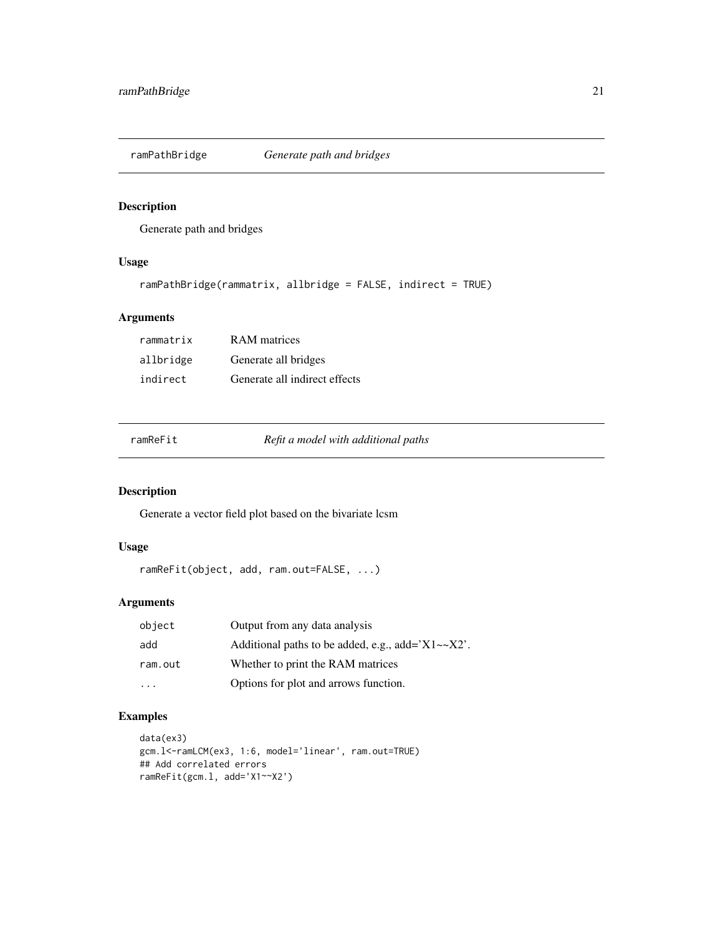<span id="page-20-1"></span><span id="page-20-0"></span>

Generate path and bridges

#### Usage

```
ramPathBridge(rammatrix, allbridge = FALSE, indirect = TRUE)
```
#### Arguments

| rammatrix | <b>RAM</b> matrices           |
|-----------|-------------------------------|
| allbridge | Generate all bridges          |
| indirect  | Generate all indirect effects |

| ramReFit |  |
|----------|--|
|          |  |

ramReFit *Refit a model with additional paths*

#### Description

Generate a vector field plot based on the bivariate lcsm

### Usage

```
ramReFit(object, add, ram.out=FALSE, ...)
```
### Arguments

| object  | Output from any data analysis                             |
|---------|-----------------------------------------------------------|
| add     | Additional paths to be added, e.g., add= $'X1 \sim X2'$ . |
| ram.out | Whether to print the RAM matrices                         |
|         | Options for plot and arrows function.                     |

# Examples

```
data(ex3)
gcm.l<-ramLCM(ex3, 1:6, model='linear', ram.out=TRUE)
## Add correlated errors
ramReFit(gcm.l, add='X1~~X2')
```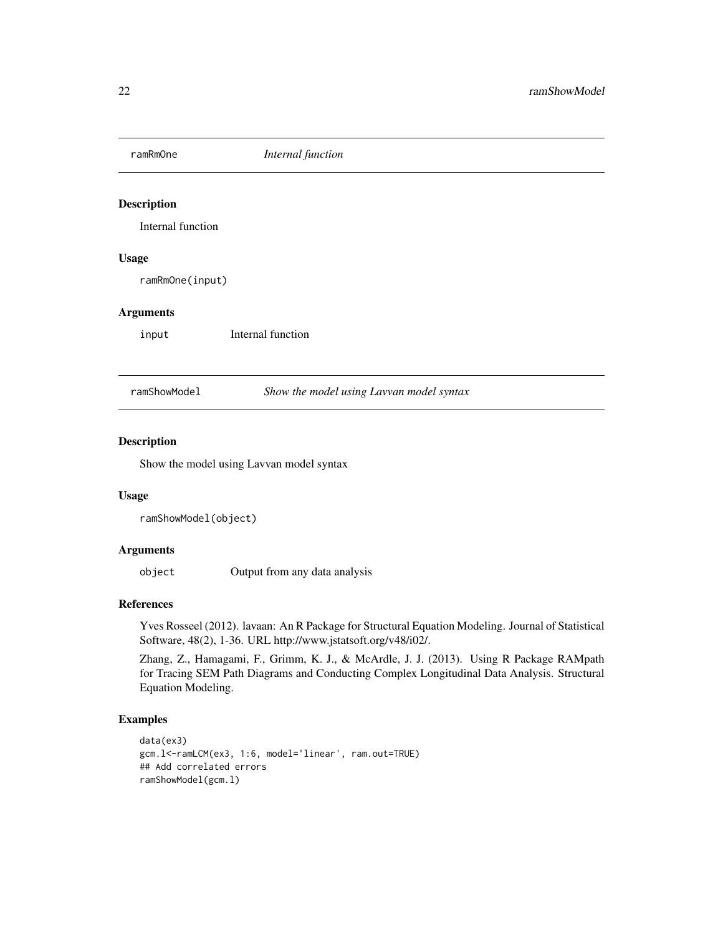<span id="page-21-0"></span>

Internal function

#### Usage

ramRmOne(input)

#### Arguments

input Internal function

ramShowModel *Show the model using Lavvan model syntax*

#### Description

Show the model using Lavvan model syntax

#### Usage

ramShowModel(object)

#### Arguments

object Output from any data analysis

#### References

Yves Rosseel (2012). lavaan: An R Package for Structural Equation Modeling. Journal of Statistical Software, 48(2), 1-36. URL http://www.jstatsoft.org/v48/i02/.

Zhang, Z., Hamagami, F., Grimm, K. J., & McArdle, J. J. (2013). Using R Package RAMpath for Tracing SEM Path Diagrams and Conducting Complex Longitudinal Data Analysis. Structural Equation Modeling.

#### Examples

```
data(ex3)
gcm.l<-ramLCM(ex3, 1:6, model='linear', ram.out=TRUE)
## Add correlated errors
ramShowModel(gcm.l)
```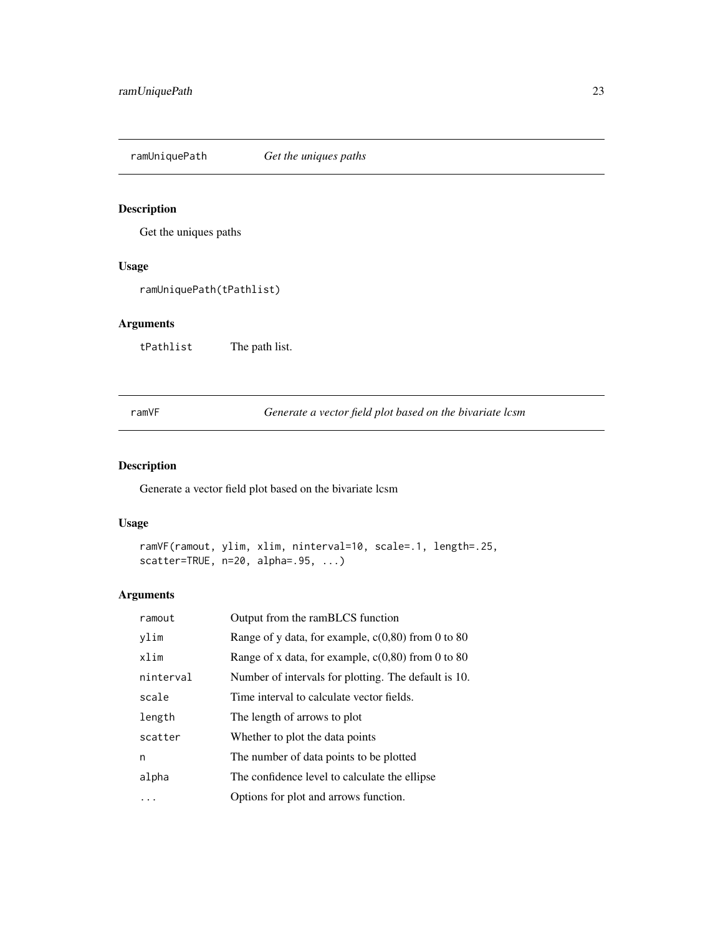<span id="page-22-0"></span>ramUniquePath *Get the uniques paths*

#### Description

Get the uniques paths

# Usage

ramUniquePath(tPathlist)

#### Arguments

tPathlist The path list.

ramVF *Generate a vector field plot based on the bivariate lcsm*

#### Description

Generate a vector field plot based on the bivariate lcsm

#### Usage

```
ramVF(ramout, ylim, xlim, ninterval=10, scale=.1, length=.25,
scatter=TRUE, n=20, alpha=.95, ...)
```

| ramout    | Output from the ramBLCS function                     |
|-----------|------------------------------------------------------|
| vlim      | Range of y data, for example, $c(0,80)$ from 0 to 80 |
| xlim      | Range of x data, for example, $c(0,80)$ from 0 to 80 |
| ninterval | Number of intervals for plotting. The default is 10. |
| scale     | Time interval to calculate vector fields.            |
| length    | The length of arrows to plot                         |
| scatter   | Whether to plot the data points                      |
| n         | The number of data points to be plotted              |
| alpha     | The confidence level to calculate the ellipse        |
|           | Options for plot and arrows function.                |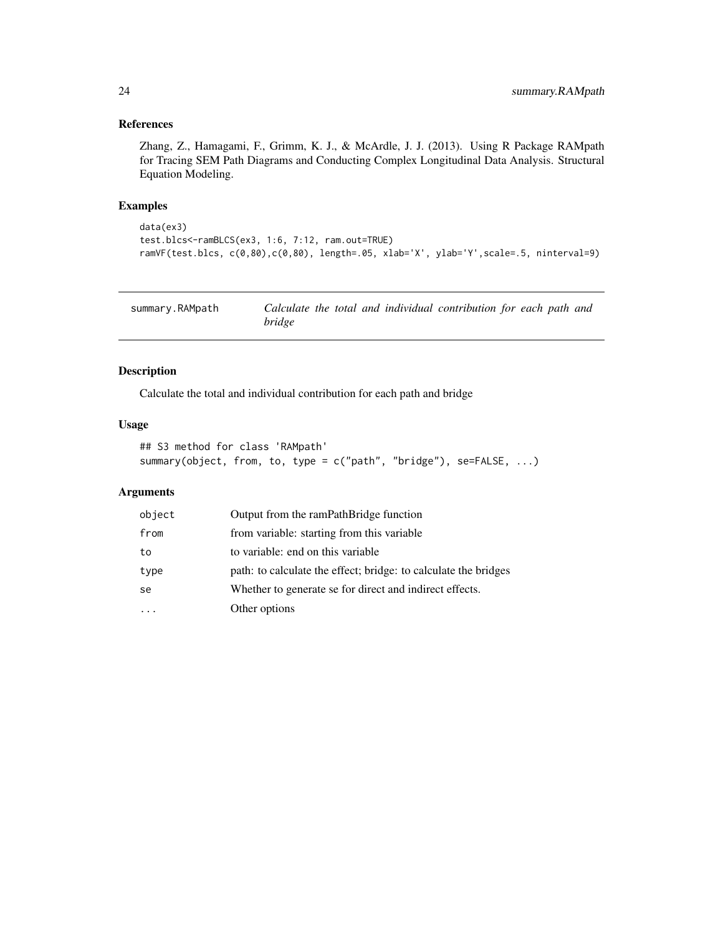#### <span id="page-23-0"></span>References

Zhang, Z., Hamagami, F., Grimm, K. J., & McArdle, J. J. (2013). Using R Package RAMpath for Tracing SEM Path Diagrams and Conducting Complex Longitudinal Data Analysis. Structural Equation Modeling.

#### Examples

```
data(ex3)
test.blcs<-ramBLCS(ex3, 1:6, 7:12, ram.out=TRUE)
ramVF(test.blcs, c(0,80),c(0,80), length=.05, xlab='X', ylab='Y',scale=.5, ninterval=9)
```

| summary.RAMpath |               |  |  | Calculate the total and individual contribution for each path and |  |  |
|-----------------|---------------|--|--|-------------------------------------------------------------------|--|--|
|                 | <i>bridge</i> |  |  |                                                                   |  |  |

#### Description

Calculate the total and individual contribution for each path and bridge

#### Usage

```
## S3 method for class 'RAMpath'
summary(object, from, to, type = c("path", "bridge"), se=FALSE, ...)
```

| object | Output from the ramPathBridge function                          |
|--------|-----------------------------------------------------------------|
| from   | from variable: starting from this variable                      |
| to     | to variable: end on this variable                               |
| type   | path: to calculate the effect; bridge: to calculate the bridges |
| se     | Whether to generate se for direct and indirect effects.         |
|        | Other options                                                   |